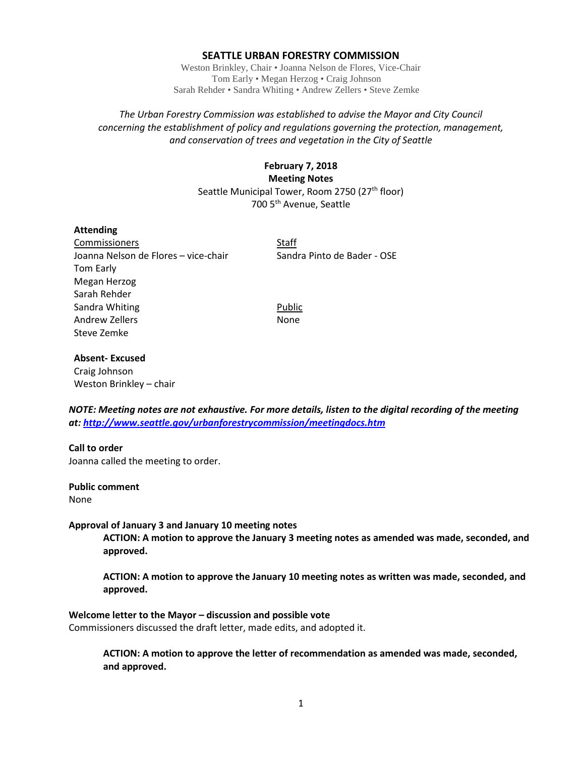#### **SEATTLE URBAN FORESTRY COMMISSION**

Weston Brinkley, Chair • Joanna Nelson de Flores, Vice-Chair Tom Early • Megan Herzog • Craig Johnson Sarah Rehder • Sandra Whiting • Andrew Zellers • Steve Zemke

## *The Urban Forestry Commission was established to advise the Mayor and City Council concerning the establishment of policy and regulations governing the protection, management, and conservation of trees and vegetation in the City of Seattle*

# **February 7, 2018 Meeting Notes** Seattle Municipal Tower, Room 2750 (27<sup>th</sup> floor) 700 5th Avenue, Seattle

### **Attending**

Commissioners Staff Joanna Nelson de Flores – vice-chair Sandra Pinto de Bader - OSE Tom Early Megan Herzog Sarah Rehder Sandra Whiting **Public** Andrew Zellers None Steve Zemke

### **Absent- Excused**

Craig Johnson Weston Brinkley – chair

*NOTE: Meeting notes are not exhaustive. For more details, listen to the digital recording of the meeting at:<http://www.seattle.gov/urbanforestrycommission/meetingdocs.htm>*

## **Call to order**

Joanna called the meeting to order.

#### **Public comment**

None

#### **Approval of January 3 and January 10 meeting notes**

**ACTION: A motion to approve the January 3 meeting notes as amended was made, seconded, and approved.**

**ACTION: A motion to approve the January 10 meeting notes as written was made, seconded, and approved.**

#### **Welcome letter to the Mayor – discussion and possible vote**

Commissioners discussed the draft letter, made edits, and adopted it.

**ACTION: A motion to approve the letter of recommendation as amended was made, seconded, and approved.**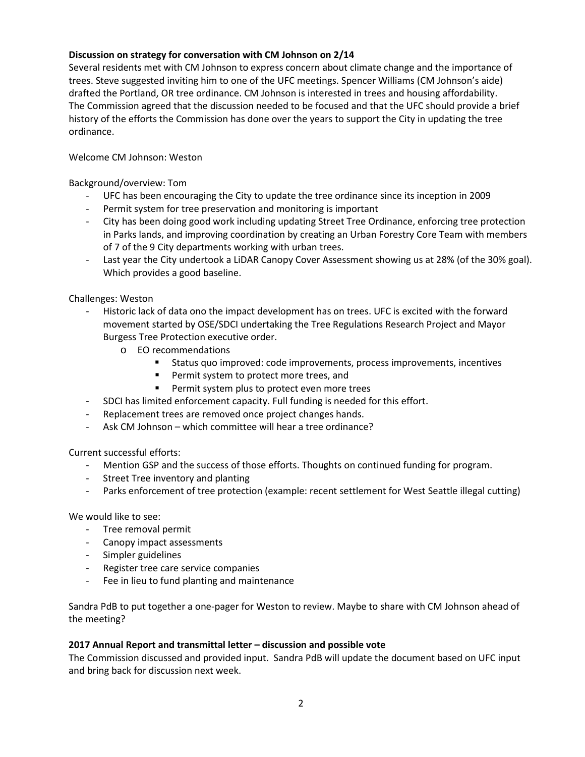# **Discussion on strategy for conversation with CM Johnson on 2/14**

Several residents met with CM Johnson to express concern about climate change and the importance of trees. Steve suggested inviting him to one of the UFC meetings. Spencer Williams (CM Johnson's aide) drafted the Portland, OR tree ordinance. CM Johnson is interested in trees and housing affordability. The Commission agreed that the discussion needed to be focused and that the UFC should provide a brief history of the efforts the Commission has done over the years to support the City in updating the tree ordinance.

## Welcome CM Johnson: Weston

Background/overview: Tom

- UFC has been encouraging the City to update the tree ordinance since its inception in 2009
- Permit system for tree preservation and monitoring is important
- City has been doing good work including updating Street Tree Ordinance, enforcing tree protection in Parks lands, and improving coordination by creating an Urban Forestry Core Team with members of 7 of the 9 City departments working with urban trees.
- Last year the City undertook a LiDAR Canopy Cover Assessment showing us at 28% (of the 30% goal). Which provides a good baseline.

Challenges: Weston

- Historic lack of data ono the impact development has on trees. UFC is excited with the forward movement started by OSE/SDCI undertaking the Tree Regulations Research Project and Mayor Burgess Tree Protection executive order.
	- o EO recommendations
		- Status quo improved: code improvements, process improvements, incentives
		- **Permit system to protect more trees, and**
		- **Permit system plus to protect even more trees**
- SDCI has limited enforcement capacity. Full funding is needed for this effort.
- Replacement trees are removed once project changes hands.
- Ask CM Johnson which committee will hear a tree ordinance?

Current successful efforts:

- Mention GSP and the success of those efforts. Thoughts on continued funding for program.
- Street Tree inventory and planting
- Parks enforcement of tree protection (example: recent settlement for West Seattle illegal cutting)

We would like to see:

- Tree removal permit
- Canopy impact assessments
- Simpler guidelines
- Register tree care service companies
- Fee in lieu to fund planting and maintenance

Sandra PdB to put together a one-pager for Weston to review. Maybe to share with CM Johnson ahead of the meeting?

## **2017 Annual Report and transmittal letter – discussion and possible vote**

The Commission discussed and provided input.Sandra PdB will update the document based on UFC input and bring back for discussion next week.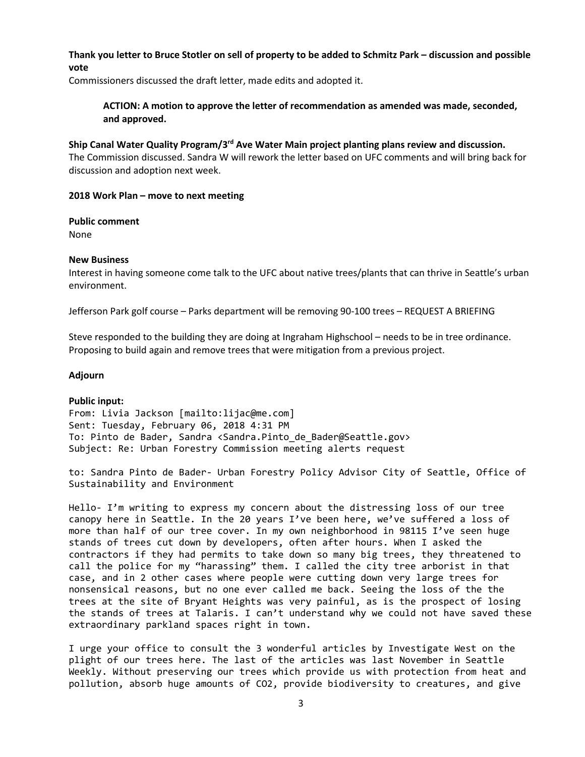## **Thank you letter to Bruce Stotler on sell of property to be added to Schmitz Park – discussion and possible vote**

Commissioners discussed the draft letter, made edits and adopted it.

**ACTION: A motion to approve the letter of recommendation as amended was made, seconded, and approved.**

### **Ship Canal Water Quality Program/3rd Ave Water Main project planting plans review and discussion.**

The Commission discussed. Sandra W will rework the letter based on UFC comments and will bring back for discussion and adoption next week.

### **2018 Work Plan – move to next meeting**

#### **Public comment**

None

### **New Business**

Interest in having someone come talk to the UFC about native trees/plants that can thrive in Seattle's urban environment.

Jefferson Park golf course – Parks department will be removing 90-100 trees – REQUEST A BRIEFING

Steve responded to the building they are doing at Ingraham Highschool – needs to be in tree ordinance. Proposing to build again and remove trees that were mitigation from a previous project.

#### **Adjourn**

## **Public input:**

From: Livia Jackson [mailto:lijac@me.com] Sent: Tuesday, February 06, 2018 4:31 PM To: Pinto de Bader, Sandra <Sandra.Pinto\_de\_Bader@Seattle.gov> Subject: Re: Urban Forestry Commission meeting alerts request

to: Sandra Pinto de Bader- Urban Forestry Policy Advisor City of Seattle, Office of Sustainability and Environment

Hello- I'm writing to express my concern about the distressing loss of our tree canopy here in Seattle. In the 20 years I've been here, we've suffered a loss of more than half of our tree cover. In my own neighborhood in 98115 I've seen huge stands of trees cut down by developers, often after hours. When I asked the contractors if they had permits to take down so many big trees, they threatened to call the police for my "harassing" them. I called the city tree arborist in that case, and in 2 other cases where people were cutting down very large trees for nonsensical reasons, but no one ever called me back. Seeing the loss of the the trees at the site of Bryant Heights was very painful, as is the prospect of losing the stands of trees at Talaris. I can't understand why we could not have saved these extraordinary parkland spaces right in town.

I urge your office to consult the 3 wonderful articles by Investigate West on the plight of our trees here. The last of the articles was last November in Seattle Weekly. Without preserving our trees which provide us with protection from heat and pollution, absorb huge amounts of CO2, provide biodiversity to creatures, and give